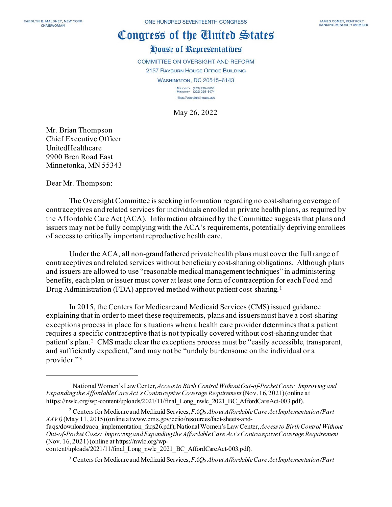## Congress of the Cinited States

## House of Representatives

COMMITTEE ON OVERSIGHT AND REFORM 2157 RAYBURN HOUSE OFFICE BUILDING

WASHINGTON, DC 20515-6143

MAJORITY (202) 225-5051<br>MINORITY (202) 225-5074 https://oversight.house.gov

May 26, 2022

Mr. Brian Thompson Chief Executive Officer UnitedHealthcare 9900 Bren Road East Minnetonka, MN 55343

Dear Mr. Thompson:

The Oversight Committee is seeking information regarding no cost-sharing coverage of contraceptives and related services for individuals enrolled in private health plans, as required by the Affordable Care Act (ACA). Information obtained by the Committee suggests that plans and issuers may not be fully complying with the ACA's requirements, potentially depriving enrollees of access to critically important reproductive health care.

Under the ACA, all non-grandfathered private health plans must cover the full range of contraceptives and related services without beneficiary cost-sharing obligations. Although plans and issuers are allowed to use "reasonable medical management techniques" in administering benefits, each plan or issuer must cover at least one form of contraception for each Food and Drug Administration (FDA) approved method without patient cost-sharing. [1](#page-0-0) 

In 2015, the Centers for Medicare and Medicaid Services (CMS) issued guidance explaining that in order to meet these requirements, plans and issuers must have a cost-sharing exceptions process in place for situations when a health care provider determines that a patient requires a specific contraceptive that is not typically covered without cost-sharing under that patient's plan.<sup>[2](#page-0-1)</sup> CMS made clear the exceptions process must be "easily accessible, transparent, and sufficiently expedient," and may not be "unduly burdensome on the individual or a provider."<sup>[3](#page-0-2)</sup>

<span id="page-0-0"></span><sup>&</sup>lt;sup>1</sup> National Women's Law Center, *Access to Birth Control Without Out-of-Pocket Costs: Improving and Expanding the Affordable Care Act's Contraceptive Coverage Requirement* (Nov. 16, 2021) (online at https://nwlc.org/wp-content/uploads/2021/11/final\_Long\_nwlc\_2021\_BC\_AffordCareAct-003.pdf).

<span id="page-0-1"></span><sup>2</sup> Centers for Medicare and Medicaid Services, *FAQs About Affordable Care Act Implementation (Part XXVI)*(May 11, 2015) (online atwww.cms.gov/cciio/resources/fact-sheets-andfaqs/downloads/aca\_implementation\_faqs26.pdf);National Women's Law Center, *Access to Birth Control Without* 

*Out-of-Pocket Costs: Improving and Expanding the Affordable Care Act's Contraceptive Coverage Requirement* (Nov. 16, 2021) (online at https://nwlc.org/wp-

<span id="page-0-2"></span>content/uploads/2021/11/final\_Long\_nwlc\_2021\_BC\_AffordCareAct-003.pdf).

<sup>3</sup> Centers for Medicare and Medicaid Services, *FAQs About Affordable Care Act Implementation (Part*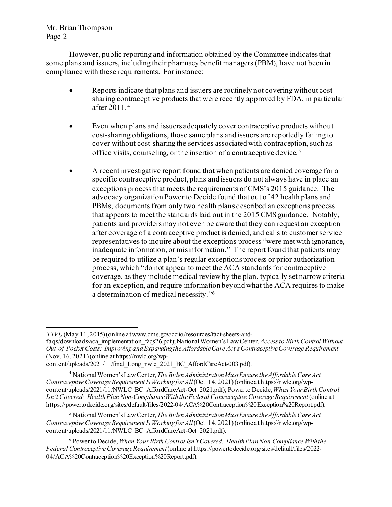## Mr. Brian Thompson Page 2

However, public reporting and information obtained by the Committee indicates that some plans and issuers, including their pharmacy benefit managers (PBM), have not been in compliance with these requirements. For instance:

- Reports indicate that plans and issuers are routinely not covering without costsharing contraceptive products that were recently approved by FDA, in particular after 2011. [4](#page-1-0)
- Even when plans and issuers adequately cover contraceptive products without cost-sharing obligations, those same plans and issuers are reportedly failing to cover without cost-sharing the services associated with contraception, such as office visits, counseling, or the insertion of a contraceptive device. [5](#page-1-1)
- A recent investigative report found that when patients are denied coverage for a specific contraceptive product, plans and issuers do not always have in place an exceptions process that meets the requirements of CMS's 2015 guidance. The advocacy organization Power to Decide found that out of 42 health plans and PBMs, documents from only two health plans described an exceptions process that appears to meet the standards laid out in the 2015 CMS guidance. Notably, patients and providers may not even be aware that they can request an exception after coverage of a contraceptive product is denied, and calls to customer service representatives to inquire about the exceptions process "were met with ignorance, inadequate information, or misinformation." The report found that patients may be required to utilize a plan's regular exceptions process or prior authorization process, which "do not appear to meet the ACA standards for contraceptive coverage, as they include medical review by the plan, typically set narrow criteria for an exception, and require information beyond what the ACA requires to make a determination of medical necessity."[6](#page-1-2)

*XXVI)*(May 11, 2015) (online atwww.cms.gov/cciio/resources/fact-sheets-and-

faqs/downloads/aca\_implementation\_faqs26.pdf); National Women's Law Center, *Access to Birth Control Without Out-of-Pocket Costs: Improving and Expanding the Affordable Care Act's Contraceptive Coverage Requirement* (Nov. 16, 2021) (online at https://nwlc.org/wp-

content/uploads/2021/11/final\_Long\_nwlc\_2021\_BC\_AffordCareAct-003.pdf).

<span id="page-1-0"></span><sup>4</sup> National Women's Law Center, *The Biden Administration Must Ensure the Affordable Care Act Contraceptive Coverage Requirement Is Working for All* (Oct. 14, 2021) (online at https://nwlc.org/wpcontent/uploads/2021/11/NWLC\_BC\_AffordCareAct-Oct\_2021.pdf); Power to Decide, *When Your Birth Control Isn't Covered: Health Plan Non-Compliance With the Federal Contraceptive Coverage Requirement* (online at https://powertodecide.org/sites/default/files/2022-04/ACA%20Contraception%20Exception%20Report.pdf).

<span id="page-1-1"></span><sup>5</sup> National Women's Law Center, *The Biden Administration Must Ensure the Affordable Care Act Contraceptive Coverage Requirement Is Working for All*(Oct. 14, 2021) (online at https://nwlc.org/wpcontent/uploads/2021/11/NWLC\_BC\_AffordCareAct-Oct\_2021.pdf).

<span id="page-1-2"></span><sup>6</sup> Power to Decide,*When Your Birth Control Isn't Covered: Health Plan Non-Compliance With the Federal Contraceptive Coverage Requirement*(online at https://powertodecide.org/sites/default/files/2022- 04/ACA%20Contraception%20Exception%20Report.pdf).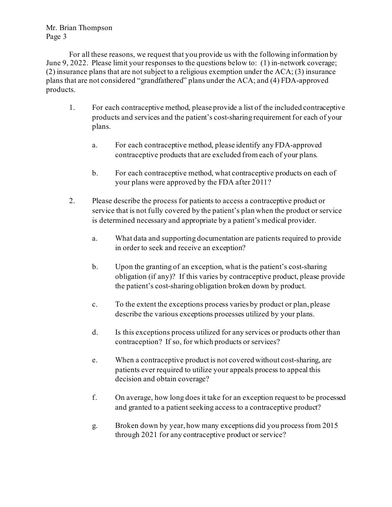Mr. Brian Thompson Page 3

For all these reasons, we request that you provide us with the following information by June 9, 2022. Please limit your responses to the questions below to: (1) in-network coverage; (2) insurance plans that are not subject to a religious exemption under the ACA; (3) insurance plans that are not considered "grandfathered" plans under the ACA; and (4) FDA-approved products.

- 1. For each contraceptive method, please provide a list of the included contraceptive products and services and the patient's cost-sharing requirement for each of your plans.
	- a. For each contraceptive method, please identify any FDA-approved contraceptive products that are excluded from each of your plans.
	- b. For each contraceptive method, what contraceptive products on each of your plans were approved by the FDA after 2011?
- 2. Please describe the process for patients to access a contraceptive product or service that is not fully covered by the patient's plan when the product or service is determined necessary and appropriate by a patient's medical provider.
	- a. What data and supporting documentation are patients required to provide in order to seek and receive an exception?
	- b. Upon the granting of an exception, what is the patient's cost-sharing obligation (if any)? If this varies by contraceptive product, please provide the patient's cost-sharing obligation broken down by product.
	- c. To the extent the exceptions process varies by product or plan, please describe the various exceptions processes utilized by your plans.
	- d. Is this exceptions process utilized for any services or products other than contraception? If so, for which products or services?
	- e. When a contraceptive product is not covered without cost-sharing, are patients ever required to utilize your appeals process to appeal this decision and obtain coverage?
	- f. On average, how long does it take for an exception request to be processed and granted to a patient seeking access to a contraceptive product?
	- g. Broken down by year, how many exceptions did you process from 2015 through 2021 for any contraceptive product or service?